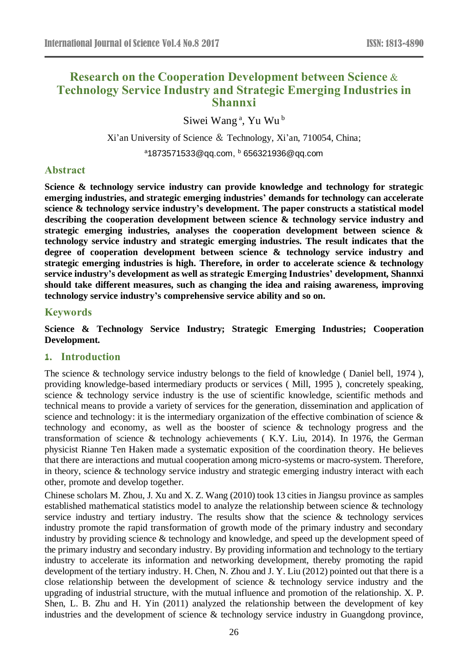# **Research on the Cooperation Development between Science & Technology Service Industry and Strategic Emerging Industries in Shannxi**

Siwei Wang<sup>a</sup>, Yu Wu<sup>b</sup>

Xi'an University of Science & Technology, Xi'an, 710054, China;

<sup>a</sup>1873571533@qq.com, <sup>b</sup> 656321936@qq.com

# **Abstract**

**Science & technology service industry can provide knowledge and technology for strategic emerging industries, and strategic emerging industries' demands for technology can accelerate science & technology service industry's development. The paper constructs a statistical model describing the cooperation development between science & technology service industry and strategic emerging industries, analyses the cooperation development between science & technology service industry and strategic emerging industries. The result indicates that the degree of cooperation development between science & technology service industry and strategic emerging industries is high. Therefore, in order to accelerate science & technology service industry's development as well as strategic Emerging Industries' development, Shannxi should take different measures, such as changing the idea and raising awareness, improving technology service industry's comprehensive service ability and so on.**

### **Keywords**

**Science & Technology Service Industry; Strategic Emerging Industries; Cooperation Development.**

# **1. Introduction**

The science & technology service industry belongs to the field of knowledge (Daniel bell, 1974), providing knowledge-based intermediary products or services ( Mill, 1995 ), concretely speaking, science & technology service industry is the use of scientific knowledge, scientific methods and technical means to provide a variety of services for the generation, dissemination and application of science and technology: it is the intermediary organization of the effective combination of science & technology and economy, as well as the booster of science & technology progress and the transformation of science & technology achievements ( K.Y. Liu, 2014). In 1976, the German physicist Rianne Ten Haken made a systematic exposition of the coordination theory. He believes that there are interactions and mutual cooperation among micro-systems or macro-system. Therefore, in theory, science & technology service industry and strategic emerging industry interact with each other, promote and develop together.

Chinese scholars M. Zhou, J. Xu and X. Z. Wang (2010) took 13 cities in Jiangsu province as samples established mathematical statistics model to analyze the relationship between science & technology service industry and tertiary industry. The results show that the science & technology services industry promote the rapid transformation of growth mode of the primary industry and secondary industry by providing science & technology and knowledge, and speed up the development speed of the primary industry and secondary industry. By providing information and technology to the tertiary industry to accelerate its information and networking development, thereby promoting the rapid development of the tertiary industry. H. Chen, N. Zhou and J. Y. Liu (2012) pointed out that there is a close relationship between the development of science & technology service industry and the upgrading of industrial structure, with the mutual influence and promotion of the relationship. X. P. Shen, L. B. Zhu and H. Yin (2011) analyzed the relationship between the development of key industries and the development of science & technology service industry in Guangdong province,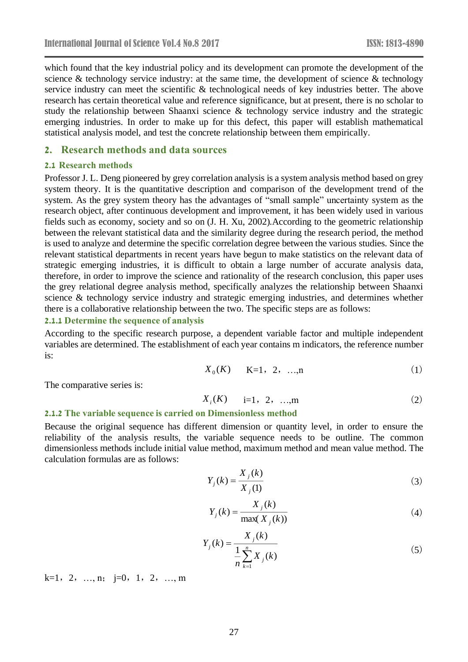which found that the key industrial policy and its development can promote the development of the science  $\&$  technology service industry: at the same time, the development of science  $\&$  technology service industry can meet the scientific & technological needs of key industries better. The above research has certain theoretical value and reference significance, but at present, there is no scholar to study the relationship between Shaanxi science & technology service industry and the strategic emerging industries. In order to make up for this defect, this paper will establish mathematical statistical analysis model, and test the concrete relationship between them empirically.

#### **2. Research methods and data sources**

#### **2.1 Research methods**

Professor J. L. Deng pioneered by grey correlation analysis is a system analysis method based on grey system theory. It is the quantitative description and comparison of the development trend of the system. As the grey system theory has the advantages of "small sample" uncertainty system as the research object, after continuous development and improvement, it has been widely used in various fields such as economy, society and so on (J. H. Xu, 2002).According to the geometric relationship between the relevant statistical data and the similarity degree during the research period, the method is used to analyze and determine the specific correlation degree between the various studies. Since the relevant statistical departments in recent years have begun to make statistics on the relevant data of strategic emerging industries, it is difficult to obtain a large number of accurate analysis data, therefore, in order to improve the science and rationality of the research conclusion, this paper uses the grey relational degree analysis method, specifically analyzes the relationship between Shaanxi science & technology service industry and strategic emerging industries, and determines whether there is a collaborative relationship between the two. The specific steps are as follows:

#### **2.1.1 Determine the sequence of analysis**

According to the specific research purpose, a dependent variable factor and multiple independent variables are determined. The establishment of each year contains m indicators, the reference number is:

$$
X_0(K) \t K=1, 2, ..., n \t (1)
$$

The comparative series is:

$$
X_i(K) = i=1, 2, ..., m
$$
 (2)

#### **2.1.2 The variable sequence is carried on Dimensionless method**

Because the original sequence has different dimension or quantity level, in order to ensure the reliability of the analysis results, the variable sequence needs to be outline. The common dimensionless methods include initial value method, maximum method and mean value method. The calculation formulas are as follows:

$$
Y_j(k) = \frac{X_j(k)}{X_j(l)}
$$
 (3)

$$
Y_j(k) = \frac{X_j(k)}{\max(X_j(k))}
$$
 (4)

$$
Y_j(k) = \frac{X_j(k)}{\frac{1}{n} \sum_{k=1}^n X_j(k)}
$$
\n(5)

 $k=1, 2, ..., n; j=0, 1, 2, ..., m$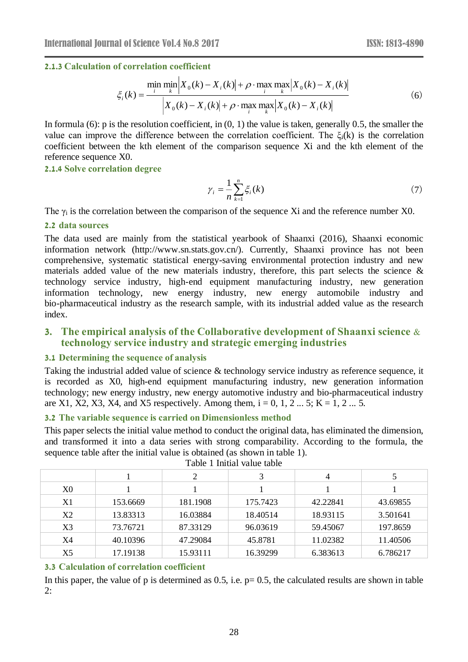#### **2.1.3 Calculation of correlation coefficient**

$$
\xi_i(k) = \frac{\min_{i} \min_{k} |X_0(k) - X_i(k)| + \rho \cdot \max_{i} \max_{k} |X_0(k) - X_i(k)|}{|X_0(k) - X_i(k)| + \rho \cdot \max_{i} \max_{k} |X_0(k) - X_i(k)|}
$$
(6)

In formula (6): p is the resolution coefficient, in  $(0, 1)$  the value is taken, generally 0.5, the smaller the value can improve the difference between the correlation coefficient. The  $\xi_i(k)$  is the correlation coefficient between the kth element of the comparison sequence Xi and the kth element of the reference sequence X0.

#### **2.1.4 Solve correlation degree**

$$
\gamma_i = \frac{1}{n} \sum_{k=1}^n \xi_i(k) \tag{7}
$$

The  $\gamma_i$  is the correlation between the comparison of the sequence Xi and the reference number X0.

#### **2.2 data sources**

The data used are mainly from the statistical yearbook of Shaanxi (2016), Shaanxi economic information network (http://www.sn.stats.gov.cn/). Currently, Shaanxi province has not been comprehensive, systematic statistical energy-saving environmental protection industry and new materials added value of the new materials industry, therefore, this part selects the science  $\&$ technology service industry, high-end equipment manufacturing industry, new generation information technology, new energy industry, new energy automobile industry and bio-pharmaceutical industry as the research sample, with its industrial added value as the research index.

# **3. The empirical analysis of the Collaborative development of Shaanxi science & technology service industry and strategic emerging industries**

#### **3.1 Determining the sequence of analysis**

Taking the industrial added value of science & technology service industry as reference sequence, it is recorded as X0, high-end equipment manufacturing industry, new generation information technology; new energy industry, new energy automotive industry and bio-pharmaceutical industry are X1, X2, X3, X4, and X5 respectively. Among them,  $i = 0, 1, 2, \ldots, 5$ ; K = 1, 2 $\ldots$  5.

#### **3.2 The variable sequence is carried on Dimensionless method**

This paper selects the initial value method to conduct the original data, has eliminated the dimension, and transformed it into a data series with strong comparability. According to the formula, the sequence table after the initial value is obtained (as shown in table 1).

|                |          | 2        | 3        | 4        |          |
|----------------|----------|----------|----------|----------|----------|
| X0             |          |          |          |          |          |
| X1             | 153.6669 | 181.1908 | 175.7423 | 42.22841 | 43.69855 |
| X2             | 13.83313 | 16.03884 | 18.40514 | 18.93115 | 3.501641 |
| X <sub>3</sub> | 73.76721 | 87.33129 | 96.03619 | 59.45067 | 197.8659 |
| X4             | 40.10396 | 47.29084 | 45.8781  | 11.02382 | 11.40506 |
| X5             | 17.19138 | 15.93111 | 16.39299 | 6.383613 | 6.786217 |

#### Table 1 Initial value table

#### **3.3 Calculation of correlation coefficient**

In this paper, the value of p is determined as  $0.5$ , i.e.  $p = 0.5$ , the calculated results are shown in table 2: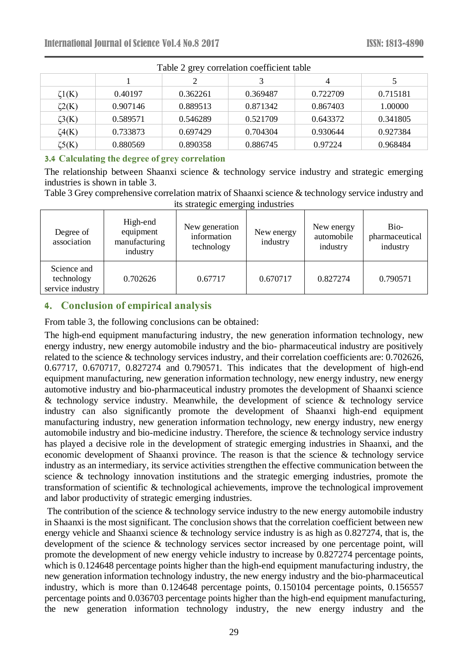| I able 2 grey correlation coefficient table |          |          |          |          |          |  |  |  |
|---------------------------------------------|----------|----------|----------|----------|----------|--|--|--|
|                                             |          |          |          | 4        |          |  |  |  |
| $\zeta1(K)$                                 | 0.40197  | 0.362261 | 0.369487 | 0.722709 | 0.715181 |  |  |  |
| $\zeta$ 2(K)                                | 0.907146 | 0.889513 | 0.871342 | 0.867403 | 1.00000  |  |  |  |
| $\zeta$ 3(K)                                | 0.589571 | 0.546289 | 0.521709 | 0.643372 | 0.341805 |  |  |  |
| $\zeta4(K)$                                 | 0.733873 | 0.697429 | 0.704304 | 0.930644 | 0.927384 |  |  |  |
| $\zeta 5(K)$                                | 0.880569 | 0.890358 | 0.886745 | 0.97224  | 0.968484 |  |  |  |

Table 2 grey correlation coefficient table

#### **3.4 Calculating the degree of grey correlation**

The relationship between Shaanxi science & technology service industry and strategic emerging industries is shown in table 3.

Table 3 Grey comprehensive correlation matrix of Shaanxi science & technology service industry and its strategic emerging industries

| Degree of<br>association                      | High-end<br>equipment<br>manufacturing<br>industry | New generation<br>information<br>technology | New energy<br>industry | New energy<br>automobile<br>industry | Bio-<br>pharmaceutical<br>industry |
|-----------------------------------------------|----------------------------------------------------|---------------------------------------------|------------------------|--------------------------------------|------------------------------------|
| Science and<br>technology<br>service industry | 0.702626                                           | 0.67717                                     | 0.670717               | 0.827274                             | 0.790571                           |

# **4. Conclusion of empirical analysis**

From table 3, the following conclusions can be obtained:

The high-end equipment manufacturing industry, the new generation information technology, new energy industry, new energy automobile industry and the bio- pharmaceutical industry are positively related to the science & technology services industry, and their correlation coefficients are: 0.702626, 0.67717, 0.670717, 0.827274 and 0.790571. This indicates that the development of high-end equipment manufacturing, new generation information technology, new energy industry, new energy automotive industry and bio-pharmaceutical industry promotes the development of Shaanxi science  $&$  technology service industry. Meanwhile, the development of science  $&$  technology service industry can also significantly promote the development of Shaanxi high-end equipment manufacturing industry, new generation information technology, new energy industry, new energy automobile industry and bio-medicine industry. Therefore, the science & technology service industry has played a decisive role in the development of strategic emerging industries in Shaanxi, and the economic development of Shaanxi province. The reason is that the science & technology service industry as an intermediary, its service activities strengthen the effective communication between the science & technology innovation institutions and the strategic emerging industries, promote the transformation of scientific & technological achievements, improve the technological improvement and labor productivity of strategic emerging industries.

The contribution of the science  $&$  technology service industry to the new energy automobile industry in Shaanxi is the most significant. The conclusion shows that the correlation coefficient between new energy vehicle and Shaanxi science & technology service industry is as high as 0.827274, that is, the development of the science & technology services sector increased by one percentage point, will promote the development of new energy vehicle industry to increase by 0.827274 percentage points, which is 0.124648 percentage points higher than the high-end equipment manufacturing industry, the new generation information technology industry, the new energy industry and the bio-pharmaceutical industry, which is more than 0.124648 percentage points, 0.150104 percentage points, 0.156557 percentage points and 0.036703 percentage points higher than the high-end equipment manufacturing, the new generation information technology industry, the new energy industry and the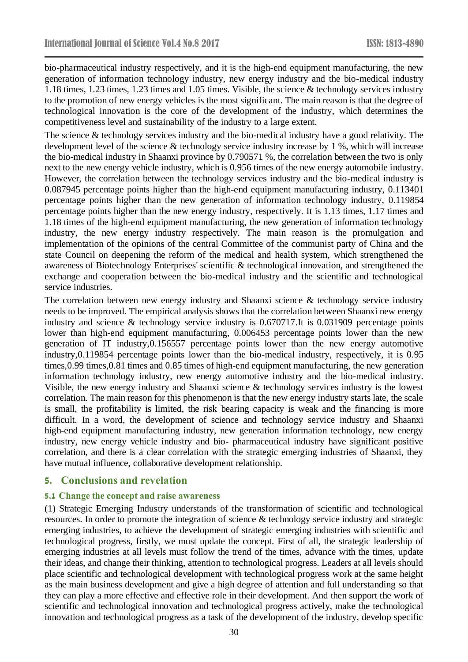bio-pharmaceutical industry respectively, and it is the high-end equipment manufacturing, the new generation of information technology industry, new energy industry and the bio-medical industry 1.18 times, 1.23 times, 1.23 times and 1.05 times. Visible, the science & technology services industry to the promotion of new energy vehicles is the most significant. The main reason is that the degree of technological innovation is the core of the development of the industry, which determines the competitiveness level and sustainability of the industry to a large extent.

The science & technology services industry and the bio-medical industry have a good relativity. The development level of the science & technology service industry increase by 1 %, which will increase the bio-medical industry in Shaanxi province by 0.790571 %, the correlation between the two is only next to the new energy vehicle industry, which is 0.956 times of the new energy automobile industry. However, the correlation between the technology services industry and the bio-medical industry is 0.087945 percentage points higher than the high-end equipment manufacturing industry, 0.113401 percentage points higher than the new generation of information technology industry, 0.119854 percentage points higher than the new energy industry, respectively. It is 1.13 times, 1.17 times and 1.18 times of the high-end equipment manufacturing, the new generation of information technology industry, the new energy industry respectively. The main reason is the promulgation and implementation of the opinions of the central Committee of the communist party of China and the state Council on deepening the reform of the medical and health system, which strengthened the awareness of Biotechnology Enterprises' scientific & technological innovation, and strengthened the exchange and cooperation between the bio-medical industry and the scientific and technological service industries.

The correlation between new energy industry and Shaanxi science & technology service industry needs to be improved. The empirical analysis shows that the correlation between Shaanxi new energy industry and science & technology service industry is 0.670717.It is 0.031909 percentage points lower than high-end equipment manufacturing, 0.006453 percentage points lower than the new generation of IT industry,0.156557 percentage points lower than the new energy automotive industry,0.119854 percentage points lower than the bio-medical industry, respectively, it is 0.95 times,0.99 times,0.81 times and 0.85 times of high-end equipment manufacturing, the new generation information technology industry, new energy automotive industry and the bio-medical industry. Visible, the new energy industry and Shaanxi science & technology services industry is the lowest correlation. The main reason for this phenomenon is that the new energy industry starts late, the scale is small, the profitability is limited, the risk bearing capacity is weak and the financing is more difficult. In a word, the development of science and technology service industry and Shaanxi high-end equipment manufacturing industry, new generation information technology, new energy industry, new energy vehicle industry and bio- pharmaceutical industry have significant positive correlation, and there is a clear correlation with the strategic emerging industries of Shaanxi, they have mutual influence, collaborative development relationship.

#### **5. Conclusions and revelation**

#### **5.1 Change the concept and raise awareness**

(1) Strategic Emerging Industry understands of the transformation of scientific and technological resources. In order to promote the integration of science & technology service industry and strategic emerging industries, to achieve the development of strategic emerging industries with scientific and technological progress, firstly, we must update the concept. First of all, the strategic leadership of emerging industries at all levels must follow the trend of the times, advance with the times, update their ideas, and change their thinking, attention to technological progress. Leaders at all levels should place scientific and technological development with technological progress work at the same height as the main business development and give a high degree of attention and full understanding so that they can play a more effective and effective role in their development. And then support the work of scientific and technological innovation and technological progress actively, make the technological innovation and technological progress as a task of the development of the industry, develop specific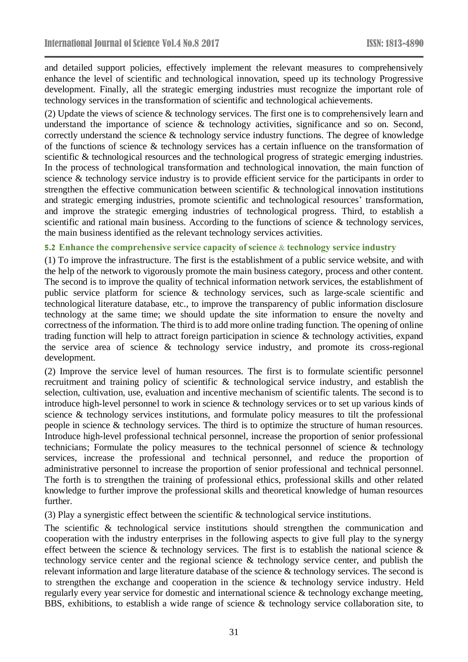and detailed support policies, effectively implement the relevant measures to comprehensively enhance the level of scientific and technological innovation, speed up its technology Progressive development. Finally, all the strategic emerging industries must recognize the important role of technology services in the transformation of scientific and technological achievements.

(2) Update the views of science & technology services. The first one is to comprehensively learn and understand the importance of science & technology activities, significance and so on. Second, correctly understand the science & technology service industry functions. The degree of knowledge of the functions of science & technology services has a certain influence on the transformation of scientific & technological resources and the technological progress of strategic emerging industries. In the process of technological transformation and technological innovation, the main function of science & technology service industry is to provide efficient service for the participants in order to strengthen the effective communication between scientific & technological innovation institutions and strategic emerging industries, promote scientific and technological resources' transformation, and improve the strategic emerging industries of technological progress. Third, to establish a scientific and rational main business. According to the functions of science & technology services, the main business identified as the relevant technology services activities.

### **5.2 Enhance the comprehensive service capacity of science & technology service industry**

(1) To improve the infrastructure. The first is the establishment of a public service website, and with the help of the network to vigorously promote the main business category, process and other content. The second is to improve the quality of technical information network services, the establishment of public service platform for science & technology services, such as large-scale scientific and technological literature database, etc., to improve the transparency of public information disclosure technology at the same time; we should update the site information to ensure the novelty and correctness of the information. The third is to add more online trading function. The opening of online trading function will help to attract foreign participation in science & technology activities, expand the service area of science & technology service industry, and promote its cross-regional development.

(2) Improve the service level of human resources. The first is to formulate scientific personnel recruitment and training policy of scientific & technological service industry, and establish the selection, cultivation, use, evaluation and incentive mechanism of scientific talents. The second is to introduce high-level personnel to work in science & technology services or to set up various kinds of science & technology services institutions, and formulate policy measures to tilt the professional people in science & technology services. The third is to optimize the structure of human resources. Introduce high-level professional technical personnel, increase the proportion of senior professional technicians; Formulate the policy measures to the technical personnel of science & technology services, increase the professional and technical personnel, and reduce the proportion of administrative personnel to increase the proportion of senior professional and technical personnel. The forth is to strengthen the training of professional ethics, professional skills and other related knowledge to further improve the professional skills and theoretical knowledge of human resources further.

(3) Play a synergistic effect between the scientific & technological service institutions.

The scientific & technological service institutions should strengthen the communication and cooperation with the industry enterprises in the following aspects to give full play to the synergy effect between the science  $\&$  technology services. The first is to establish the national science  $\&$ technology service center and the regional science & technology service center, and publish the relevant information and large literature database of the science & technology services. The second is to strengthen the exchange and cooperation in the science & technology service industry. Held regularly every year service for domestic and international science & technology exchange meeting, BBS, exhibitions, to establish a wide range of science & technology service collaboration site, to